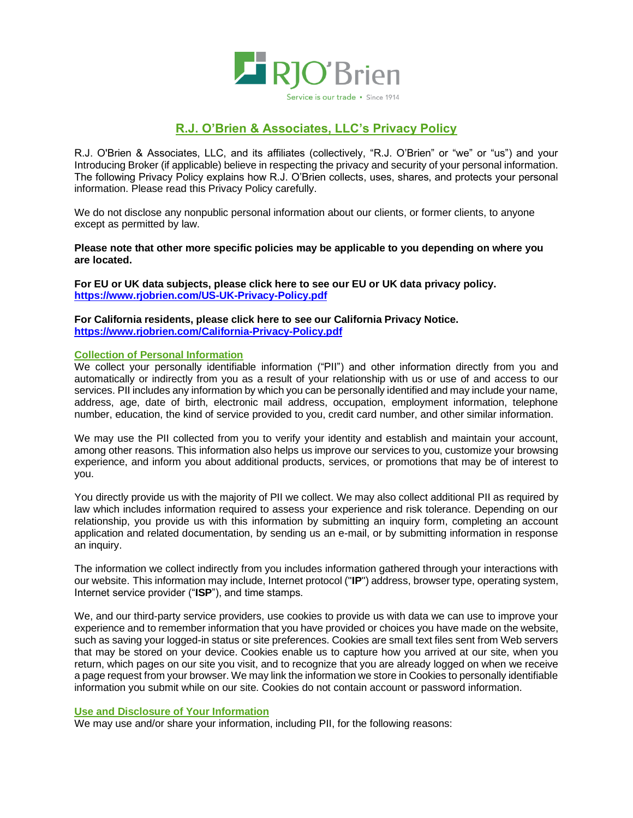

# **R.J. O'Brien & Associates, LLC's Privacy Policy**

R.J. O'Brien & Associates, LLC, and its affiliates (collectively, "R.J. O'Brien" or "we" or "us") and your Introducing Broker (if applicable) believe in respecting the privacy and security of your personal information. The following Privacy Policy explains how R.J. O'Brien collects, uses, shares, and protects your personal information. Please read this Privacy Policy carefully.

We do not disclose any nonpublic personal information about our clients, or former clients, to anyone except as permitted by law.

**Please note that other more specific policies may be applicable to you depending on where you are located.**

**For EU or UK data subjects, please click here to see our EU or UK data privacy policy. <https://www.rjobrien.com/US-UK-Privacy-Policy.pdf>**

**For California residents, please click here to see our California Privacy Notice. <https://www.rjobrien.com/California-Privacy-Policy.pdf>**

## **Collection of Personal Information**

We collect your personally identifiable information ("PII") and other information directly from you and automatically or indirectly from you as a result of your relationship with us or use of and access to our services. PII includes any information by which you can be personally identified and may include your name, address, age, date of birth, electronic mail address, occupation, employment information, telephone number, education, the kind of service provided to you, credit card number, and other similar information.

We may use the PII collected from you to verify your identity and establish and maintain your account, among other reasons. This information also helps us improve our services to you, customize your browsing experience, and inform you about additional products, services, or promotions that may be of interest to you.

You directly provide us with the majority of PII we collect. We may also collect additional PII as required by law which includes information required to assess your experience and risk tolerance. Depending on our relationship, you provide us with this information by submitting an inquiry form, completing an account application and related documentation, by sending us an e-mail, or by submitting information in response an inquiry.

The information we collect indirectly from you includes information gathered through your interactions with our website. This information may include, Internet protocol ("**IP**") address, browser type, operating system, Internet service provider ("**ISP**"), and time stamps.

We, and our third-party service providers, use cookies to provide us with data we can use to improve your experience and to remember information that you have provided or choices you have made on the website, such as saving your logged-in status or site preferences. Cookies are small text files sent from Web servers that may be stored on your device. Cookies enable us to capture how you arrived at our site, when you return, which pages on our site you visit, and to recognize that you are already logged on when we receive a page request from your browser. We may link the information we store in Cookies to personally identifiable information you submit while on our site. Cookies do not contain account or password information.

### **Use and Disclosure of Your Information**

We may use and/or share your information, including PII, for the following reasons: